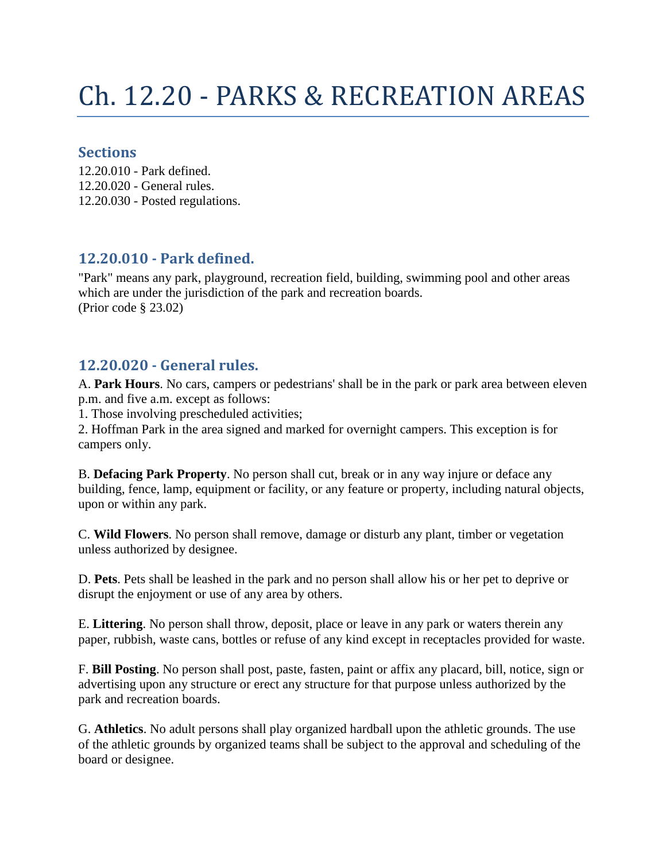# Ch. 12.20 - PARKS & RECREATION AREAS

#### **Sections**

12.20.010 - Park defined. 12.20.020 - General rules. 12.20.030 - Posted regulations.

## **12.20.010 - Park defined.**

"Park" means any park, playground, recreation field, building, swimming pool and other areas which are under the jurisdiction of the park and recreation boards. (Prior code § 23.02)

## **12.20.020 - General rules.**

A. **Park Hours**. No cars, campers or pedestrians' shall be in the park or park area between eleven p.m. and five a.m. except as follows:

1. Those involving prescheduled activities;

2. Hoffman Park in the area signed and marked for overnight campers. This exception is for campers only.

B. **Defacing Park Property**. No person shall cut, break or in any way injure or deface any building, fence, lamp, equipment or facility, or any feature or property, including natural objects, upon or within any park.

C. **Wild Flowers**. No person shall remove, damage or disturb any plant, timber or vegetation unless authorized by designee.

D. **Pets**. Pets shall be leashed in the park and no person shall allow his or her pet to deprive or disrupt the enjoyment or use of any area by others.

E. **Littering**. No person shall throw, deposit, place or leave in any park or waters therein any paper, rubbish, waste cans, bottles or refuse of any kind except in receptacles provided for waste.

F. **Bill Posting**. No person shall post, paste, fasten, paint or affix any placard, bill, notice, sign or advertising upon any structure or erect any structure for that purpose unless authorized by the park and recreation boards.

G. **Athletics**. No adult persons shall play organized hardball upon the athletic grounds. The use of the athletic grounds by organized teams shall be subject to the approval and scheduling of the board or designee.